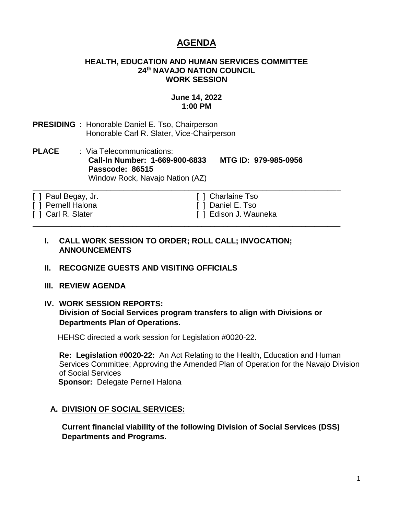# **AGENDA**

#### **HEALTH, EDUCATION AND HUMAN SERVICES COMMITTEE 24th NAVAJO NATION COUNCIL WORK SESSION**

## **June 14, 2022 1:00 PM**

**PRESIDING** : Honorable Daniel E. Tso, Chairperson Honorable Carl R. Slater, Vice-Chairperson

**PLACE** : Via Telecommunications: **Call-In Number: 1-669-900-6833 MTG ID: 979-985-0956 Passcode: 86515** Window Rock, Navajo Nation (AZ)

**\_\_\_\_\_\_\_\_\_\_\_\_\_\_\_\_\_\_\_\_\_\_\_\_\_\_\_\_\_\_\_\_\_\_\_\_\_\_\_\_\_\_\_\_\_\_\_\_\_\_\_\_\_\_\_\_\_\_\_\_\_\_\_\_\_\_\_\_\_\_\_**

**\_\_\_\_\_\_\_\_\_\_\_\_\_\_\_\_\_\_\_\_\_\_\_\_\_\_\_\_\_\_\_\_\_\_\_\_\_\_\_\_\_\_\_\_\_\_\_\_\_\_\_\_\_\_\_\_\_\_\_\_\_\_\_\_\_\_\_\_\_\_\_**

- [ ] Paul Begay, Jr. [ ] Charlaine Tso
- [ ] Pernell Halona [ ] Daniel E. Tso
- 

[ ] Carl R. Slater [ ] Edison J. Wauneka

### **I. CALL WORK SESSION TO ORDER; ROLL CALL; INVOCATION; ANNOUNCEMENTS**

### **II. RECOGNIZE GUESTS AND VISITING OFFICIALS**

### **III. REVIEW AGENDA**

#### **IV. WORK SESSION REPORTS: Division of Social Services program transfers to align with Divisions or Departments Plan of Operations.**

HEHSC directed a work session for Legislation #0020-22.

**Re: Legislation #0020-22:** An Act Relating to the Health, Education and Human Services Committee; Approving the Amended Plan of Operation for the Navajo Division of Social Services **Sponsor:** Delegate Pernell Halona

### **A. DIVISION OF SOCIAL SERVICES:**

**Current financial viability of the following Division of Social Services (DSS) Departments and Programs.**